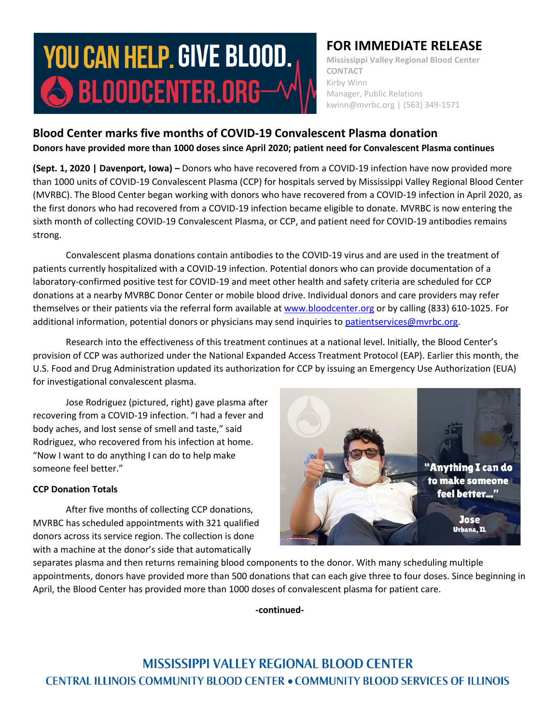# **YOU CAN HELP. GIVE BLOOD.**  $\bigcirc$  bloodcenter.org $-$

## **FOR IMMEDIATE RELEASE**

**Mississippi Valley Regional Blood Center CONTACT** Kirby Winn Manager, Public Relations kwinn@mvrbc.org | (563) 349-1571

## **Blood Center marks five months of COVID-19 Convalescent Plasma donation Donors have provided more than 1000 doses since April 2020; patient need for Convalescent Plasma continues**

**(Sept. 1, 2020 | Davenport, Iowa) –** Donors who have recovered from a COVID-19 infection have now provided more than 1000 units of COVID-19 Convalescent Plasma (CCP) for hospitals served by Mississippi Valley Regional Blood Center (MVRBC). The Blood Center began working with donors who have recovered from a COVID-19 infection in April 2020, as the first donors who had recovered from a COVID-19 infection became eligible to donate. MVRBC is now entering the sixth month of collecting COVID-19 Convalescent Plasma, or CCP, and patient need for COVID-19 antibodies remains strong.

Convalescent plasma donations contain antibodies to the COVID-19 virus and are used in the treatment of patients currently hospitalized with a COVID-19 infection. Potential donors who can provide documentation of a laboratory-confirmed positive test for COVID-19 and meet other health and safety criteria are scheduled for CCP donations at a nearby MVRBC Donor Center or mobile blood drive. Individual donors and care providers may refer themselves or their patients via the referral form available a[t www.bloodcenter.org](http://www.bloodcenter.org/) or by calling (833) 610-1025. For additional information, potential donors or physicians may send inquiries to [patientservices@mvrbc.org.](mailto:patientservices@mvrbc.org)

Research into the effectiveness of this treatment continues at a national level. Initially, the Blood Center's provision of CCP was authorized under the National Expanded Access Treatment Protocol (EAP). Earlier this month, the U.S. Food and Drug Administration updated its authorization for CCP by issuing an Emergency Use Authorization (EUA) for investigational convalescent plasma.

Jose Rodriguez (pictured, right) gave plasma after recovering from a COVID-19 infection. "I had a fever and body aches, and lost sense of smell and taste," said Rodriguez, who recovered from his infection at home. "Now I want to do anything I can do to help make someone feel better."

### **CCP Donation Totals**

After five months of collecting CCP donations, MVRBC has scheduled appointments with 321 qualified donors across its service region. The collection is done with a machine at the donor's side that automatically



separates plasma and then returns remaining blood components to the donor. With many scheduling multiple appointments, donors have provided more than 500 donations that can each give three to four doses. Since beginning in April, the Blood Center has provided more than 1000 doses of convalescent plasma for patient care.

**-continued-**